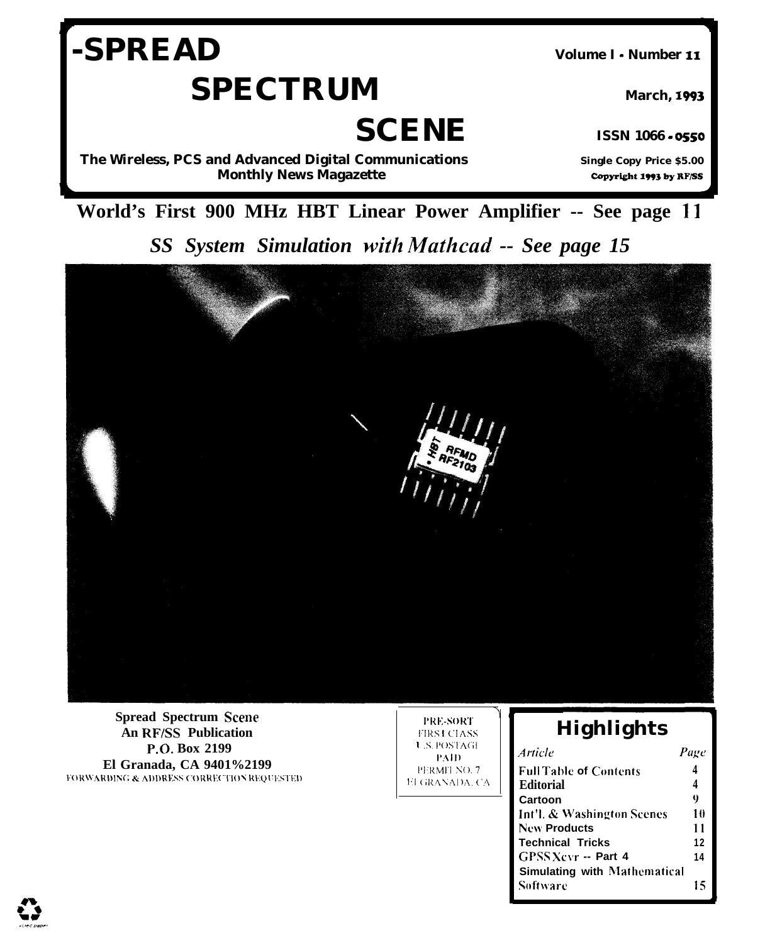# -SPREAD **SPECTRUM**

Volume I - Number 11

**March, 1993** 

**SCENE** 

The Wireless, PCS and Advanced Digital Communications **Monthly News Magazette** 

**ISSN 1066 - 0550 Single Copy Price \$5.00** 

Copyright 1993 by RF/SS

World's First 900 MHz HBT Linear Power Amplifier -- See page 11

SS System Simulation with Mathcad -- See page 15



**Spread Spectrum Scene An RF/SS Publication** P.O. Box 2199 El Granada, CA 9401%2199 FORWARDING & ADDRESS CORRECTION REQUESTED

**PRE-SORT FIRS LCLASS U.S. POSTAGE** PAID PERMIT NO. 7 EI GRANADA, CA

# Highlights

| Article                             | Page |
|-------------------------------------|------|
| <b>Full Table of Contents</b>       | 4    |
| <b>Editorial</b>                    | 4    |
| Cartoon                             | 0    |
| Int'l. & Washington Scenes          | 10   |
| New Products                        | 11   |
| Technical Tricks                    | 12   |
| GPSS Xcvr -- Part 4                 | 14   |
| <b>Simulating with Mathematical</b> |      |
| Software                            | 15   |

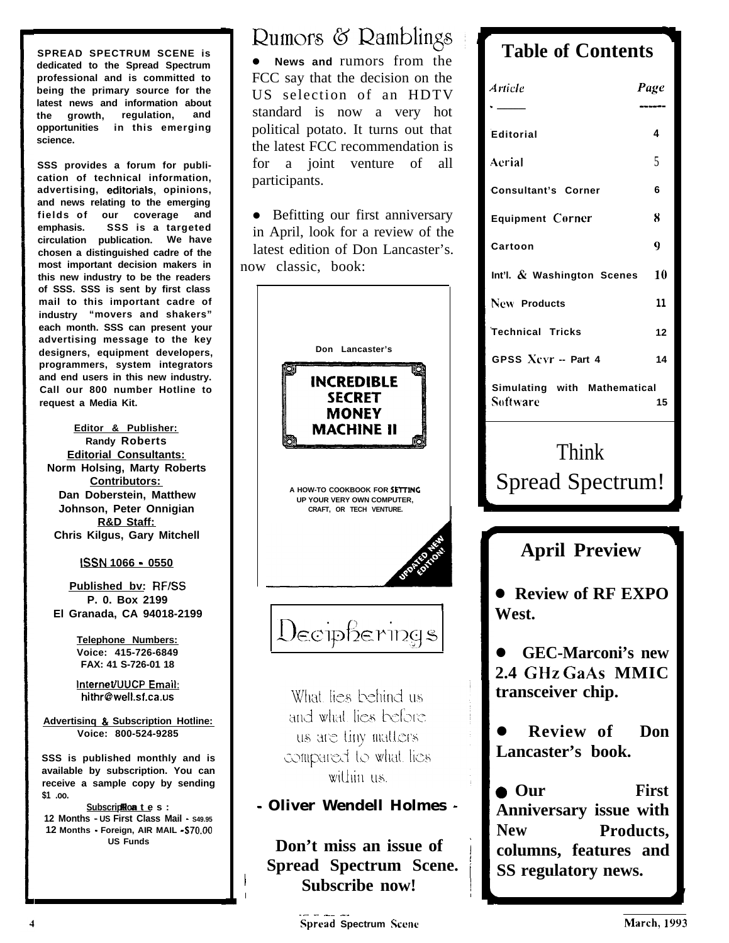**SPREAD SPECTRUM SCENE is dedicated to the Spread Spectrum professional and is committed to being the primary source for the latest news and information about the growth, regulation, and opportunities in this emerging science.**

**SSS provides a forum for publication of technical information, advertising, editorials, opinions, and news relating to the emerging fields of our coverage and emphasis. SSS is a targeted circulation publication. We have chosen a distinguished cadre of the most important decision makers in this new industry to be the readers of SSS. SSS is sent by first class mail to this important cadre of industry "movers and shakers" each month. SSS can present your advertising message to the key designers, equipment developers, programmers, system integrators and end users in this new industry. Call our 800 number Hotline to request a Media Kit.**

**Editor & Publisher: Randy Roberts Editorial Consultants: Norm Holsing, Marty Roberts Contributors: Dan Doberstein, Matthew Johnson, Peter Onnigian R&D Staff: Chris Kilgus, Gary Mitchell**

**ISSN 1066 - 0550**

**Published bv: RF/SS P. 0. Box 2199 El Granada, CA 94018-2199**

> **Telephone Numbers: Voice: 415-726-6849 FAX: 41 S-726-01 18**

> **InternetlUUCP Email: hithr@well.sf.ca.us**

**Advertisinq & Subscription Hotline: Voice: 800-524-9285**

**SSS is published monthly and is available by subscription. You can receive a sample copy by sending \$1 .oo.**

**Subscription t** e s : **12 Months** - **US First Class Mail - S49.95 12 Months** - **Foreign, AIR MAIL - S70.00 US Funds**

Rumors & Ramblings **Table of Contents** 

**•** News and rumors from the FCC say that the decision on the US selection of an HDTV standard is now a very hot political potato. It turns out that the latest FCC recommendation is for a joint venture of all participants.

• Befitting our first anniversary in April, look for a review of the latest edition of Don Lancaster's. now classic, book:



4

| <b>Article</b>                                                     | Page                      |  |
|--------------------------------------------------------------------|---------------------------|--|
| <b>Editorial</b>                                                   | 4                         |  |
| Aerial                                                             | 5                         |  |
| <b>Consultant's Corner</b>                                         | 6                         |  |
| <b>Equipment Corner</b>                                            | 8                         |  |
| Cartoon                                                            | 9                         |  |
| Int'l. $\&$ Washington Scenes                                      | 10                        |  |
| New Products                                                       | 11                        |  |
| <b>Technical Tricks</b>                                            | 12                        |  |
| GPSS Xevr -- Part 4                                                | 14                        |  |
| Simulating with Mathematical<br>Software                           | 15                        |  |
| <b>Spread Spectrum!</b>                                            |                           |  |
| <b>April Preview</b>                                               |                           |  |
| <b>Review of RF EXPO</b><br>West.                                  |                           |  |
| <b>GEC-Marconi's new</b><br>2.4 GHz GaAs MMIC<br>transceiver chip. |                           |  |
| Review of<br>Lancaster's book.                                     | Don                       |  |
| $\bullet$ Our<br>Anniversary issue with<br><b>New</b>              | <b>First</b><br>Products, |  |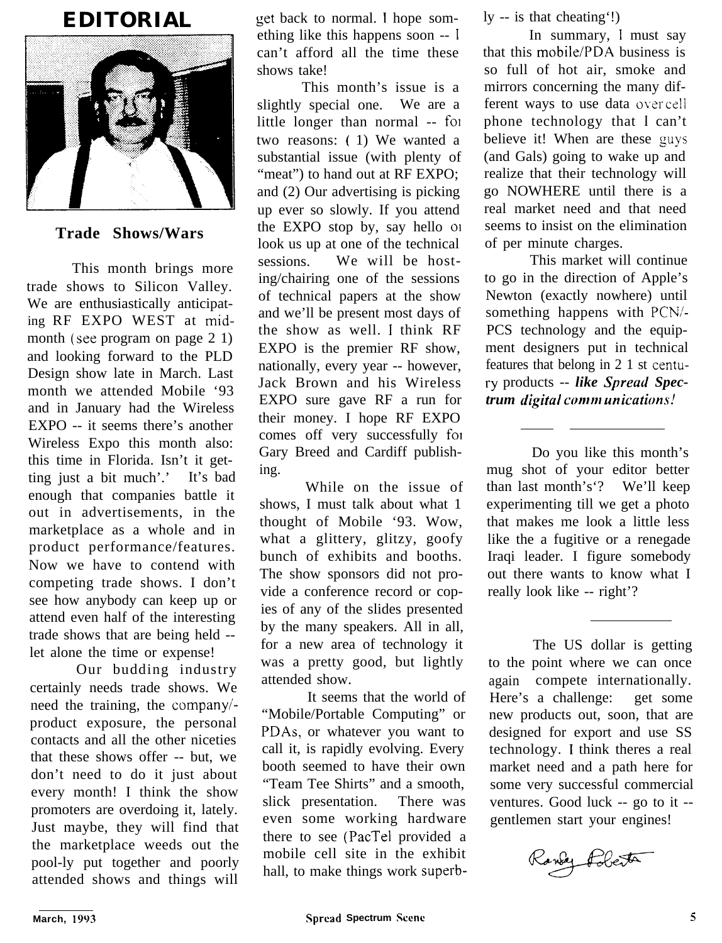# **EDITORIAL**



## **Trade Shows/Wars**

This month brings more trade shows to Silicon Valley. We are enthusiastically anticipating RF EXPO WEST at midmonth (see program on page 2 1) and looking forward to the PLD Design show late in March. Last month we attended Mobile '93 and in January had the Wireless EXPO -- it seems there's another Wireless Expo this month also: this time in Florida. Isn't it getting just a bit much'.' It's bad enough that companies battle it out in advertisements, in the marketplace as a whole and in product performance/features. Now we have to contend with competing trade shows. I don't see how anybody can keep up or attend even half of the interesting trade shows that are being held - let alone the time or expense!

Our budding industry certainly needs trade shows. We need the training, the companyiproduct exposure, the personal contacts and all the other niceties that these shows offer -- but, we don't need to do it just about every month! I think the show promoters are overdoing it, lately. Just maybe, they will find that the marketplace weeds out the pool-ly put together and poorly attended shows and things will

get back to normal. I hope something like this happens soon -- <sup>I</sup> can't afford all the time these shows take!

This month's issue is a slightly special one. We are a little longer than normal -- fol two reasons: ( 1) We wanted a substantial issue (with plenty of "meat") to hand out at RF EXPO: and (2) Our advertising is picking up ever so slowly. If you attend the EXPO stop by, say hello 01 look us up at one of the technical sessions. We will be hosting/chairing one of the sessions of technical papers at the show and we'll be present most days of the show as well. I think RF EXPO is the premier RF show, nationally, every year -- however, Jack Brown and his Wireless EXPO sure gave RF a run for their money. I hope RF EXPO comes off very successfully fol Gary Breed and Cardiff publishing.

While on the issue of shows, I must talk about what 1 thought of Mobile '93. Wow, what a glittery, glitzy, goofy bunch of exhibits and booths. The show sponsors did not provide a conference record or copies of any of the slides presented by the many speakers. All in all, for a new area of technology it was a pretty good, but lightly attended show.

It seems that the world of "Mobile/Portable Computing" or PDAs, or whatever you want to call it, is rapidly evolving. Every booth seemed to have their own "Team Tee Shirts" and a smooth, slick presentation. There was even some working hardware there to see (PacTel provided a mobile cell site in the exhibit hall, to make things work superbly -- is that cheating'!)

In summary, I must say that this mobile/PDA business is so full of hot air, smoke and mirrors concerning the many different ways to use data over cell phone technology that 1 can't believe it! When are these guys (and Gals) going to wake up and realize that their technology will go NOWHERE until there is a real market need and that need seems to insist on the elimination of per minute charges.

This market will continue to go in the direction of Apple's Newton (exactly nowhere) until something happens with PCN/-PCS technology and the equipment designers put in technical features that belong in 2 1 st centusy products -- *like Spreucl Spectrum digital communications!* 

Do you like this month's mug shot of your editor better than last month's'? We'll keep experimenting till we get a photo that makes me look a little less like the a fugitive or a renegade Iraqi leader. I figure somebody out there wants to know what I really look like -- right'?

The US dollar is getting to the point where we can once again compete internationally. Here's a challenge: get some new products out, soon, that are designed for export and use SS technology. I think theres a real market need and a path here for some very successful commercial ventures. Good luck -- go to it - gentlemen start your engines!

andy Pobert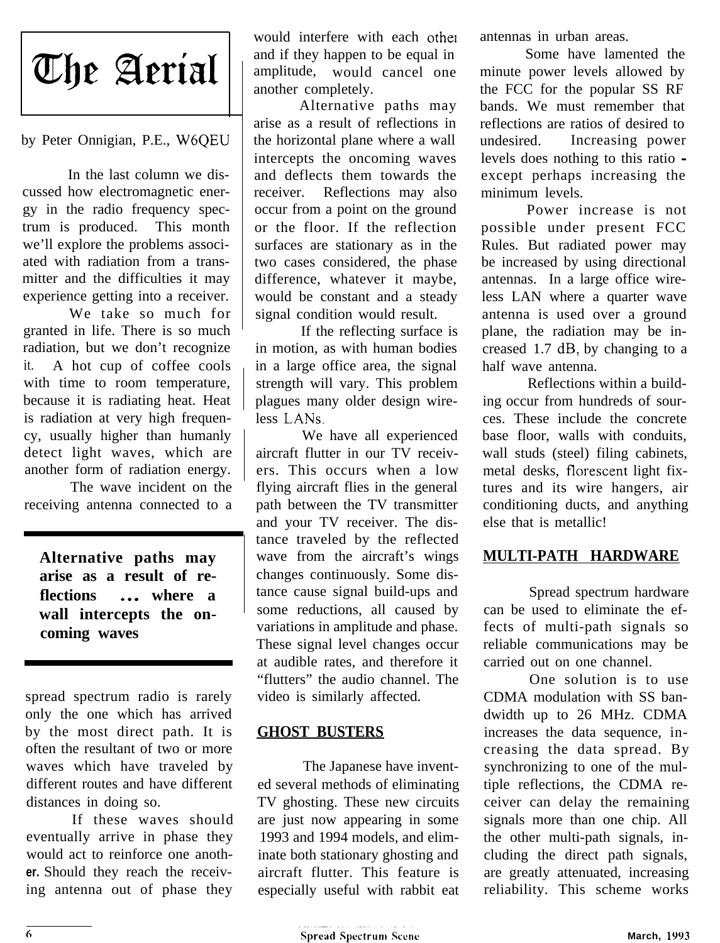

#### by Peter Onnigian, P.E., W6QEU

In the last column we discussed how electromagnetic energy in the radio frequency spectrum is produced. This month we'll explore the problems associated with radiation from a transmitter and the difficulties it may experience getting into a receiver.

We take so much for granted in life. There is so much radiation, but we don't recognize it. A hot cup of coffee cools with time to room temperature, because it is radiating heat. Heat is radiation at very high frequency, usually higher than humanly detect light waves, which are another form of radiation energy.

The wave incident on the receiving antenna connected to a

**Alternative paths may arise as a result of reflections** . . . **where a wall intercepts the oncoming waves**

spread spectrum radio is rarely only the one which has arrived by the most direct path. It is often the resultant of two or more waves which have traveled by different routes and have different distances in doing so.

If these waves should eventually arrive in phase they would act to reinforce one anoth**er.** Should they reach the receiving antenna out of phase they

would interfere with each other and if they happen to be equal in amplitude, would cancel one another completely.

Alternative paths may arise as a result of reflections in the horizontal plane where a wall intercepts the oncoming waves and deflects them towards the receiver. Reflections may also occur from a point on the ground or the floor. If the reflection surfaces are stationary as in the two cases considered, the phase difference, whatever it maybe, would be constant and a steady signal condition would result.

If the reflecting surface is in motion, as with human bodies in a large office area, the signal strength will vary. This problem plagues many older design wireless LANs.

We have all experienced aircraft flutter in our TV receivers. This occurs when a low flying aircraft flies in the general path between the TV transmitter and your TV receiver. The distance traveled by the reflected wave from the aircraft's wings changes continuously. Some distance cause signal build-ups and some reductions, all caused by variations in amplitude and phase. These signal level changes occur at audible rates, and therefore it "flutters" the audio channel. The video is similarly affected.

#### **GHOST BUSTERS**

The Japanese have invented several methods of eliminating TV ghosting. These new circuits are just now appearing in some 1993 and 1994 models, and eliminate both stationary ghosting and aircraft flutter. This feature is especially useful with rabbit eat antennas in urban areas.

Some have lamented the minute power levels allowed by the FCC for the popular SS RF bands. We must remember that reflections are ratios of desired to undesired. Increasing power levels does nothing to this ratio except perhaps increasing the minimum levels.

Power increase is not possible under present FCC Rules. But radiated power may be increased by using directional antennas. In a large office wireless LAN where a quarter wave antenna is used over a ground plane, the radiation may be increased 1.7 dB, by changing to a half wave antenna.

Reflections within a building occur from hundreds of sources. These include the concrete base floor, walls with conduits, wall studs (steel) filing cabinets, metal desks, florescent light fixtures and its wire hangers, air conditioning ducts, and anything else that is metallic!

### **MULTI-PATH HARDWARE**

Spread spectrum hardware can be used to eliminate the effects of multi-path signals so reliable communications may be carried out on one channel.

One solution is to use CDMA modulation with SS bandwidth up to 26 MHz. CDMA increases the data sequence, increasing the data spread. By synchronizing to one of the multiple reflections, the CDMA receiver can delay the remaining signals more than one chip. All the other multi-path signals, including the direct path signals, are greatly attenuated, increasing reliability. This scheme works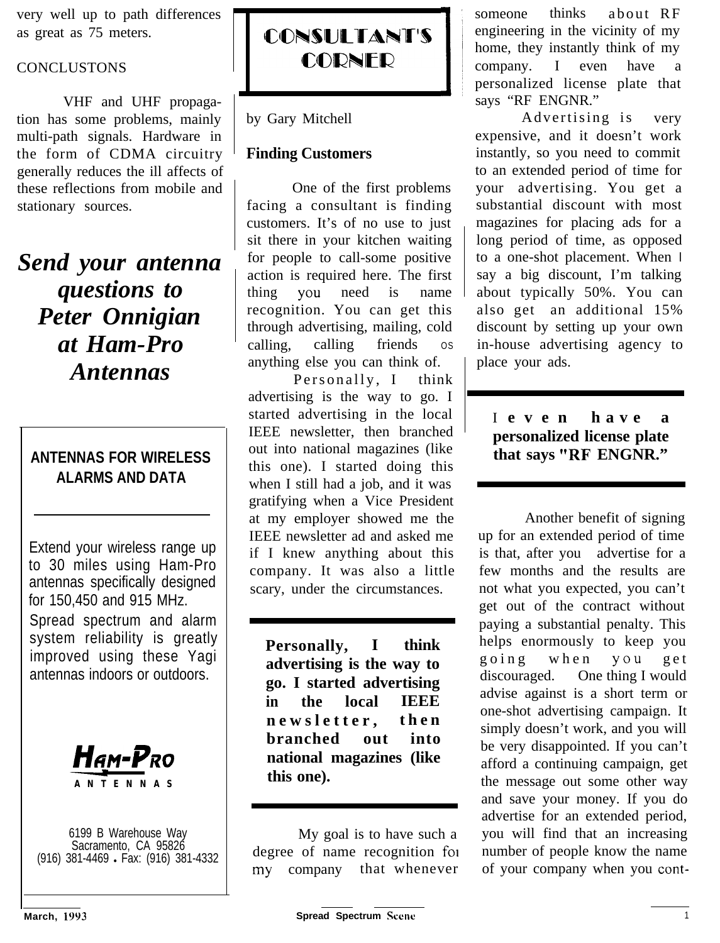very well up to path differences as great as 75 meters.

## **CONCLUSTONS**

VHF and UHF propagation has some problems, mainly multi-path signals. Hardware in the form of CDMA circuitry generally reduces the ill affects of these reflections from mobile and stationary sources.

*Send your antenna questions to Peter Onnigian at Ham-Pro Antennas*

# **ANTENNAS FOR WIRELESS ALARMS AND DATA**

Extend your wireless range up to 30 miles using Ham-Pro antennas specifically designed for 150,450 and 915 MHz. Spread spectrum and alarm system reliability is greatly improved using these Yagi antennas indoors or outdoors.



6199 B Warehouse Way Sacramento, CA 95826 (916) 381-4469 · Fax: (916) 381-4332



by Gary Mitchell

## **Finding Customers**

One of the first problems facing a consultant is finding customers. It's of no use to just sit there in your kitchen waiting for people to call-some positive action is required here. The first thing You need is name recognition. You can get this through advertising, mailing, cold calling, calling friends os anything else you can think of.

Personally, I think advertising is the way to go. I started advertising in the local IEEE newsletter, then branched out into national magazines (like this one). I started doing this when I still had a job, and it was gratifying when a Vice President at my employer showed me the IEEE newsletter ad and asked me if I knew anything about this company. It was also a little scary, under the circumstances.

**Personally, I think advertising is the way to go. I started advertising in the local IEEE newsletter, then branched out into national magazines (like this one).**

My goal is to have such a degree of name recognition foi my company that whenever

**Information**<br>says "RF ENGNR." someone thinks about RF engineering in the vicinity of my home, they instantly think of my  $company.$  I even have personalized license plate that

> Advertising is very expensive, and it doesn't work instantly, so you need to commit to an extended period of time for your advertising. You get a substantial discount with most magazines for placing ads for a long period of time, as opposed to a one-shot placement. When I say a big discount, I'm talking about typically 50%. You can also get an additional 15% discount by setting up your own in-house advertising agency to place your ads.

## I **even have a personalized license plate that says "RF ENGNR."**

Another benefit of signing up for an extended period of time is that, after you advertise for a few months and the results are not what you expected, you can't get out of the contract without paying a substantial penalty. This helps enormously to keep you going when you get<br>discouraged. One thing I would One thing I would advise against is a short term or one-shot advertising campaign. It simply doesn't work, and you will be very disappointed. If you can't afford a continuing campaign, get the message out some other way and save your money. If you do advertise for an extended period, you will find that an increasing number of people know the name of your company when you cont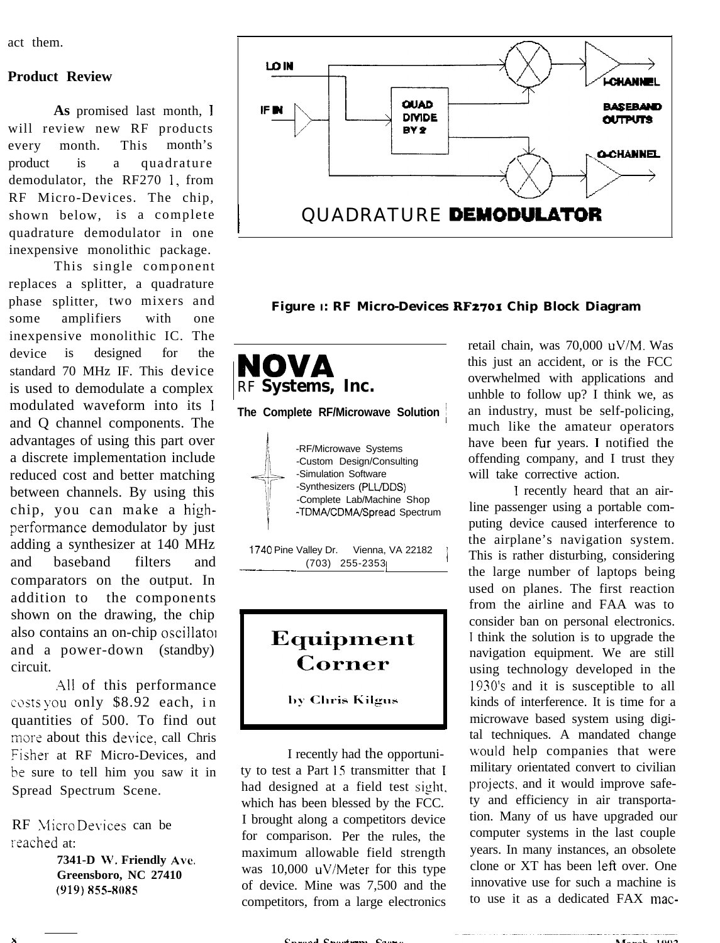act them.

#### **Product Review**

**As** promised last month, <sup>I</sup> will review new RF products every month. This month's product is a quadrature demodulator, the RF270 1, from RF Micro-Devices. The chip, shown below, is a complete quadrature demodulator in one inexpensive monolithic package.

This single component replaces a splitter, a quadrature phase splitter, two mixers and some amplifiers with one inexpensive monolithic IC. The device is designed for the standard 70 MHz IF. This device is used to demodulate a complex modulated waveform into its I and Q channel components. The advantages of using this part over a discrete implementation include reduced cost and better matching between channels. By using this chip, you can make a highperformance demodulator by just adding a synthesizer at 140 MHz and baseband filters and comparators on the output. In addition to the components shown on the drawing, the chip also contains an on-chip oscillator and a power-down (standby) circuit.

.411 of this performance costs you only  $$8.92$  each, in quantities of 500. To find out more about this device, call Chris Fisher at RF Micro-Devices, and be sure to tell him you saw it in Spread Spectrum Scene.

RF Micro Devices can be reached at:

> **7341-D W. Friendly Ave. Greensboro, NC 27410 (YlY) x55-8OXS**



**Figure I: RF Micro-Devices RF2701 Chip Block Diagram**



# Equipment Corner

by Chris Kilgus

I recently had the opportunity to test a Part 15 transmitter that I had designed at a field test sight. which has been blessed by the FCC. I brought along a competitors device for comparison. Per the rules, the maximum allowable field strength was 10,000 uV/Meter for this type of device. Mine was 7,500 and the competitors, from a large electronics

retail chain, was 70,000 uV/M. Was this just an accident, or is the FCC overwhelmed with applications and unhble to follow up? I think we, as an industry, must be self-policing, much like the amateur operators have been fur years. I notified the offending company, and I trust they will take corrective action.

1 recently heard that an airline passenger using a portable computing device caused interference to the airplane's navigation system. This is rather disturbing, considering the large number of laptops being used on planes. The first reaction from the airline and FAA was to consider ban on personal electronics. I think the solution is to upgrade the navigation equipment. We are still using technology developed in the 1930's and it is susceptible to all kinds of interference. It is time for a microwave based system using digital techniques. A mandated change would help companies that were military orientated convert to civilian projects, and it would improve safety and efficiency in air transportation. Many of us have upgraded our computer systems in the last couple years. In many instances, an obsolete clone or XT has been left over. One innovative use for such a machine is to use it as a dedicated FAX mac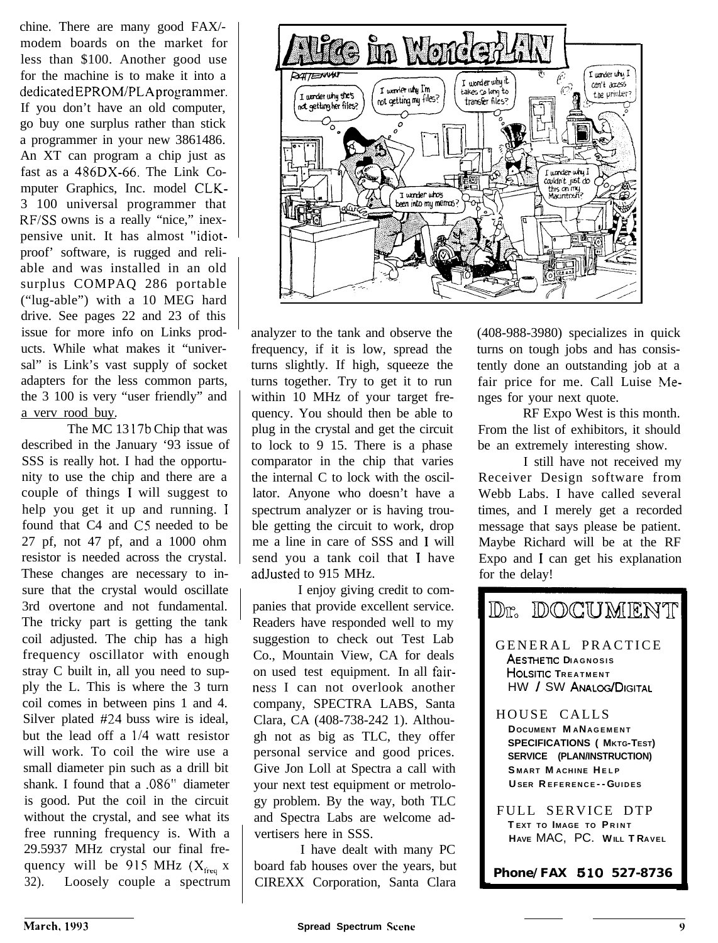chine. There are many good FAX/ modem boards on the market for less than \$100. Another good use for the machine is to make it into a dedicatedEPROM/PLAprogrammer. If you don't have an old computer, go buy one surplus rather than stick a programmer in your new 3861486. An XT can program a chip just as fast as a 486DX-66. The Link Computer Graphics, Inc. model CLK-3 100 universal programmer that RF/SS owns is a really "nice," inexpensive unit. It has almost "idiotproof' software, is rugged and reliable and was installed in an old surplus COMPAQ 286 portable ("lug-able") with a 10 MEG hard drive. See pages 22 and 23 of this issue for more info on Links products. While what makes it "universal" is Link's vast supply of socket adapters for the less common parts, the 3 100 is very "user friendly" and a verv rood buy.

The MC 13 17b Chip that was described in the January '93 issue of SSS is really hot. I had the opportunity to use the chip and there are a couple of things I will suggest to help you get it up and running. I found that C4 and CS needed to be 27 pf, not 47 pf, and a 1000 ohm resistor is needed across the crystal. These changes are necessary to insure that the crystal would oscillate 3rd overtone and not fundamental. The tricky part is getting the tank coil adjusted. The chip has a high frequency oscillator with enough stray C built in, all you need to supply the L. This is where the 3 turn coil comes in between pins 1 and 4. Silver plated #24 buss wire is ideal, but the lead off a  $1/4$  watt resistor will work. To coil the wire use a small diameter pin such as a drill bit shank. I found that a .086" diameter is good. Put the coil in the circuit without the crystal, and see what its free running frequency is. With a 29.5937 MHz crystal our final frequency will be 915 MHz  $(X_{\text{free}} | X)$ 32). Loosely couple a spectrum



analyzer to the tank and observe the frequency, if it is low, spread the turns slightly. If high, squeeze the turns together. Try to get it to run within 10 MHz of your target frequency. You should then be able to plug in the crystal and get the circuit to lock to 9 15. There is a phase comparator in the chip that varies the internal C to lock with the oscillator. Anyone who doesn't have a spectrum analyzer or is having trouble getting the circuit to work, drop me a line in care of SSS and I will send you a tank coil that I have adJusted to 915 MHz.

I enjoy giving credit to companies that provide excellent service. Readers have responded well to my suggestion to check out Test Lab Co., Mountain View, CA for deals on used test equipment. In all fairness I can not overlook another company, SPECTRA LABS, Santa Clara, CA (408-738-242 1). Although not as big as TLC, they offer personal service and good prices. Give Jon Loll at Spectra a call with your next test equipment or metrology problem. By the way, both TLC and Spectra Labs are welcome advertisers here in SSS.

I have dealt with many PC board fab houses over the years, but CIREXX Corporation, Santa Clara (408-988-3980) specializes in quick turns on tough jobs and has consistently done an outstanding job at a fair price for me. Call Luise Menges for your next quote.

RF Expo West is this month. From the list of exhibitors, it should be an extremely interesting show.

I still have not received my Receiver Design software from Webb Labs. I have called several times, and I merely get a recorded message that says please be patient. Maybe Richard will be at the RF Expo and I can get his explanation for the delay!

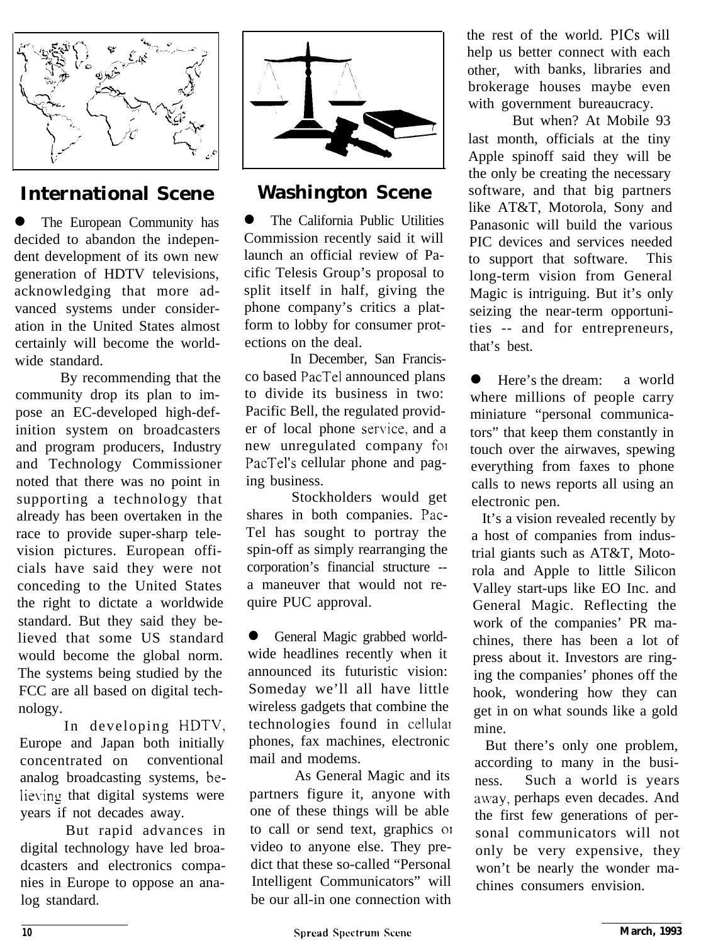

# **International Scene**

The European Community has decided to abandon the independent development of its own new generation of HDTV televisions, acknowledging that more advanced systems under consideration in the United States almost certainly will become the worldwide standard.

By recommending that the community drop its plan to impose an EC-developed high-definition system on broadcasters and program producers, Industry and Technology Commissioner noted that there was no point in supporting a technology that already has been overtaken in the race to provide super-sharp television pictures. European officials have said they were not conceding to the United States the right to dictate a worldwide standard. But they said they believed that some US standard would become the global norm. The systems being studied by the FCC are all based on digital technology.

In developing HDTV, Europe and Japan both initially concentrated on conventional analog broadcasting systems, believing that digital systems were years if not decades away.

But rapid advances in digital technology have led broadcasters and electronics companies in Europe to oppose an analog standard.



# **Washington Scene**

The California Public Utilities Commission recently said it will launch an official review of Pacific Telesis Group's proposal to split itself in half, giving the phone company's critics a platform to lobby for consumer protections on the deal.

In December, San Francisco based PacTel announced plans to divide its business in two: Pacific Bell, the regulated provider of local phone service, and a new unregulated company foi PacTel's cellular phone and paging business.

Stockholders would get shares in both companies. Pac-Tel has sought to portray the spin-off as simply rearranging the corporation's financial structure - a maneuver that would not require PUC approval.

**•** General Magic grabbed worldwide headlines recently when it announced its futuristic vision: Someday we'll all have little wireless gadgets that combine the technologies found in cellular phones, fax machines, electronic mail and modems.

As General Magic and its partners figure it, anyone with one of these things will be able to call or send text, graphics 01 video to anyone else. They predict that these so-called "Personal Intelligent Communicators" will be our all-in one connection with

the rest of the world. PICs will help us better connect with each other, with banks, libraries and brokerage houses maybe even with government bureaucracy.

But when? At Mobile 93 last month, officials at the tiny Apple spinoff said they will be the only be creating the necessary software, and that big partners like AT&T, Motorola, Sony and Panasonic will build the various PIC devices and services needed to support that software. This long-term vision from General Magic is intriguing. But it's only seizing the near-term opportunities -- and for entrepreneurs, that's best.

• Here's the dream: a world where millions of people carry miniature "personal communicators" that keep them constantly in touch over the airwaves, spewing everything from faxes to phone calls to news reports all using an electronic pen.

It's a vision revealed recently by a host of companies from industrial giants such as AT&T, Motorola and Apple to little Silicon Valley start-ups like EO Inc. and General Magic. Reflecting the work of the companies' PR machines, there has been a lot of press about it. Investors are ringing the companies' phones off the hook, wondering how they can get in on what sounds like a gold mine.

But there's only one problem, according to many in the business. Such a world is years away, perhaps even decades. And the first few generations of personal communicators will not only be very expensive, they won't be nearly the wonder machines consumers envision.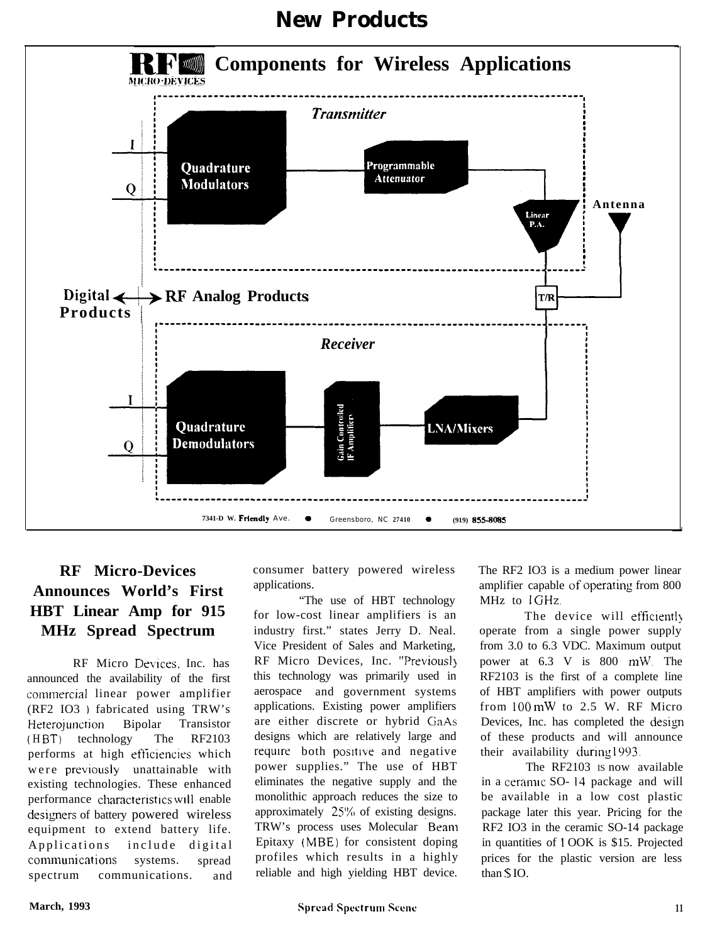

# **New Products**

# **RF Micro-Devices Announces World's First HBT Linear Amp for 915 MHz Spread Spectrum**

RF Micro Devices, Inc. has announced the availability of the first conmercial linear power amplifier (RF2 IO3 ) fabricated using TRW's Heterojunction Bipolar Transistor (HBT) technology The RF2103 performs at high efficiencies which were previously unattainable with existing technologies. These enhanced performance characteristics will enable designers of battery powered wireless equipment to extend battery life. Applications include digital communications systems. spread spectrum communications. and consumer battery powered wireless applications.

"The use of HBT technology for low-cost linear amplifiers is an industry first." states Jerry D. Neal. Vice President of Sales and Marketing, RF Micro Devices, Inc. "Previousl) this technology was primarily used in aerospace and government systems applications. Existing power amplifiers are either discrete or hybrid GaAs designs which are relatively large and require both positive and negative power supplies." The use of HBT eliminates the negative supply and the monolithic approach reduces the size to approximately 25% of existing designs. TRW's process uses Molecular Beam Epitaxy (MBE) for consistent doping profiles which results in a highly reliable and high yielding HBT device.

The RF2 IO3 is a medium power linear amplifier capable of operating from 800 MHz to 1 GHz.

The device will efficiently operate from a single power supply from 3.0 to 6.3 VDC. Maximum output power at 6.3 V is 800 mW. The RF2103 is the first of a complete line of HBT amplifiers with power outputs from 100 mW to 2.5 W. RF Micro Devices, Inc. has completed the design of these products and will announce their availability during 1993.

The RF2103 IS now available in a ceramic SO- 14 package and will be available in a low cost plastic package later this year. Pricing for the RF2 IO3 in the ceramic SO-14 package in quantities of 1 OOK is \$15. Projected prices for the plastic version are less than S IO.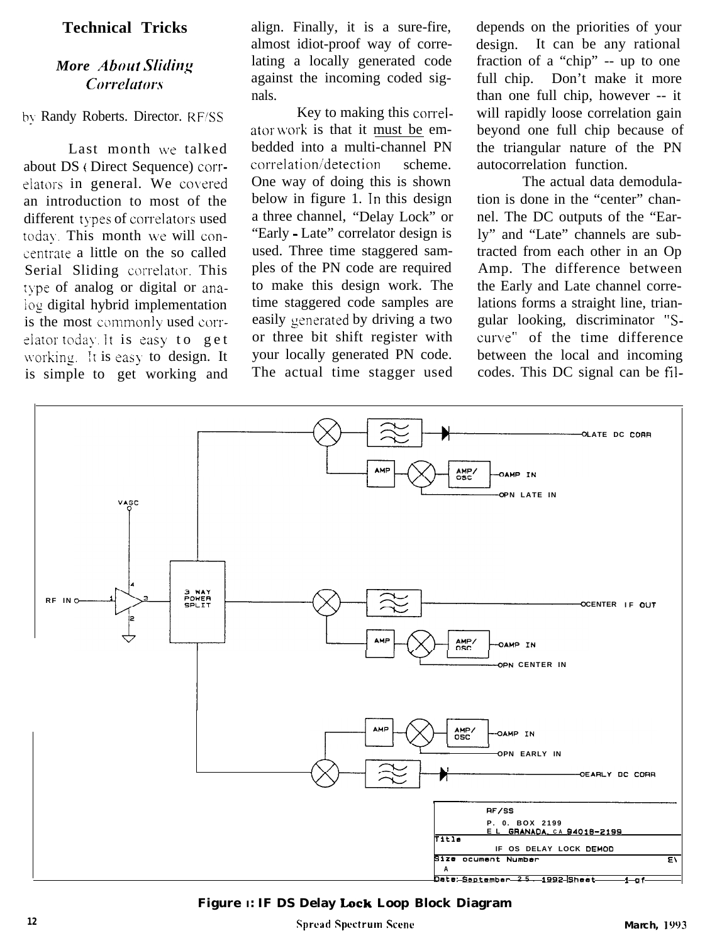### **Technical Tricks**

## *More About Sliding Corrclutors*

Last month we talked about DS (Direct Sequence) correlators in general. We covered an introduction to most of the different types of correlators used today. This month we will concentrate a little on the so called Serial Sliding correlator. This type of analog or digital or anaiog digital hybrid implementation is the most commonly used correlator today. It is easy to get working. It is easy to design. It is simple to get working and align. Finally, it is a sure-fire, almost idiot-proof way of correlating a locally generated code against the incoming coded signals.

by Randy Roberts. Director. RF/SS Key to making this correlator work is that it must be embedded into a multi-channel PN correlation'detection scheme. One way of doing this is shown below in figure 1. In this design a three channel, "Delay Lock" or "Early - Late" correlator design is used. Three time staggered samples of the PN code are required to make this design work. The time staggered code samples are easily generated by driving a two or three bit shift register with your locally generated PN code. The actual time stagger used

depends on the priorities of your design. It can be any rational fraction of a "chip" -- up to one full chip. Don't make it more than one full chip, however -- it will rapidly loose correlation gain beyond one full chip because of the triangular nature of the PN autocorrelation function.

The actual data demodulation is done in the "center" channel. The DC outputs of the "Early" and "Late" channels are subtracted from each other in an Op Amp. The difference between the Early and Late channel correlations forms a straight line, triangular looking, discriminator "Scurve" of the time difference between the local and incoming codes. This DC signal can be fil-



**Figure I: IF DS Delay Lock Loop Block Diagram**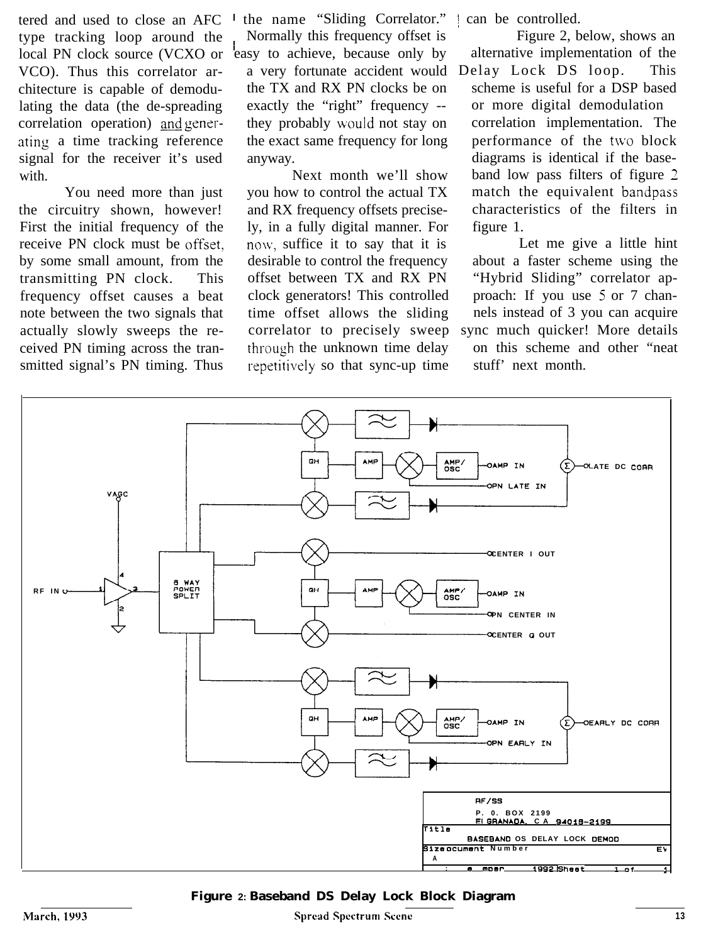tered and used to close an AFC type tracking loop around the local PN clock source (VCXO or easy to achieve, because only by VCO). Thus this correlator architecture is capable of demodulating the data (the de-spreading correlation operation) and generating a time tracking reference signal for the receiver it's used with.

You need more than just the circuitry shown, however! First the initial frequency of the receive PN clock must be offset, by some small amount, from the transmitting PN clock. This frequency offset causes a beat note between the two signals that actually slowly sweeps the received PN timing across the transmitted signal's PN timing. Thus

the name "Sliding Correlator." | Normally this frequency offset is the TX and RX PN clocks be on exactly the "right" frequency -they probably would not stay on the exact same frequency for long anyway.

Next month we'll show you how to control the actual TX and RX frequency offsets precisely, in a fully digital manner. For now, suffice it to say that it is desirable to control the frequency offset between TX and RX PN clock generators! This controlled time offset allows the sliding correlator to precisely sweep through the unknown time delay repetitively so that sync-up time stuff' next month.

can be controlled.

a very fortunate accident would Delay Lock DS loop. This Figure 2, below, shows an alternative implementation of the scheme is useful for a DSP based or more digital demodulation correlation implementation. The performance of the two block diagrams is identical if the baseband low pass filters of figure 2 match the equivalent bandpass characteristics of the filters in figure 1.

> Let me give a little hint about a faster scheme using the "Hybrid Sliding" correlator approach: If you use 5 or 7 channels instead of 3 you can acquire sync much quicker! More details

on this scheme and other "neat



**Figure 2: Baseband DS Delay Lock Block Diagram**

**Spread Spectrum Scene 13**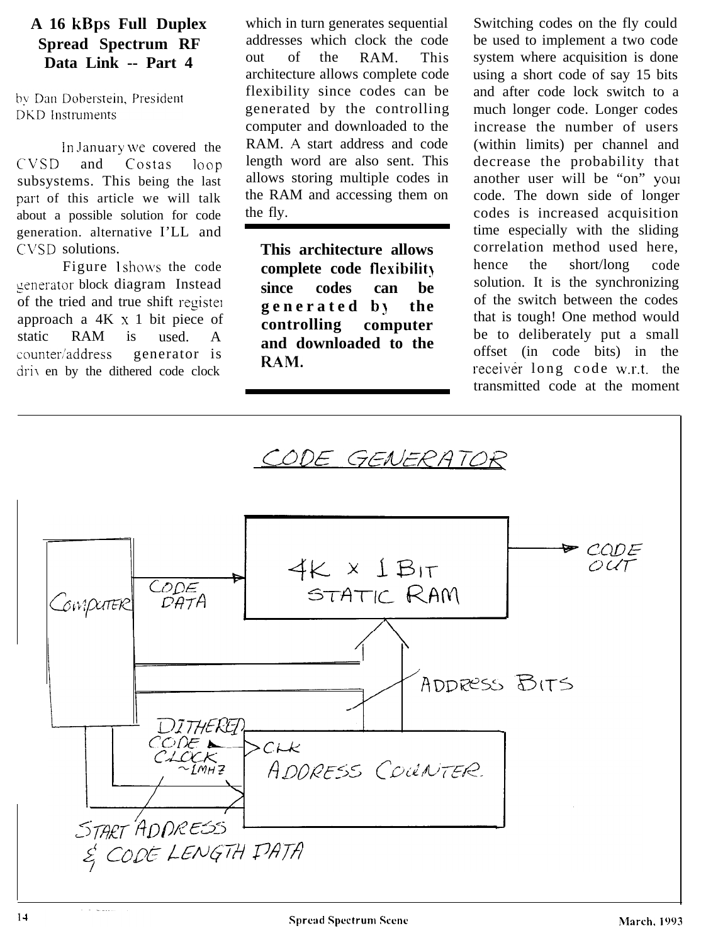# **A 16 kBps Full Duplex Spread Spectrum RF Data Link -- Part 4**

by Dan Doberstein, President **DKD** Instruments

In January we covered the CVSD and Costas loop subsystems. This being the last part of this article we will talk about a possible solution for code generation. alternative I'LL and CVSD solutions.

Figure 1 shows the code generator block diagram Instead of the tried and true shift register approach a 4K x 1 bit piece of static RAM is used. A counter/address generator is driv en by the dithered code clock

which in turn generates sequential addresses which clock the code out of the RAM. This architecture allows complete code flexibility since codes can be generated by the controlling computer and downloaded to the RAM. A start address and code length word are also sent. This allows storing multiple codes in the RAM and accessing them on the fly.

**This architecture allows complete code flexibilit) since codes can be generated bl the controlling computer and downloaded to the RAM.**

Switching codes on the fly could be used to implement a two code system where acquisition is done using a short code of say 15 bits and after code lock switch to a much longer code. Longer codes increase the number of users (within limits) per channel and decrease the probability that another user will be "on" YOUI code. The down side of longer codes is increased acquisition time especially with the sliding correlation method used here, hence the short/long code solution. It is the synchronizing of the switch between the codes that is tough! One method would be to deliberately put a small offset (in code bits) in the receiver long code w.r.t. the transmitted code at the moment

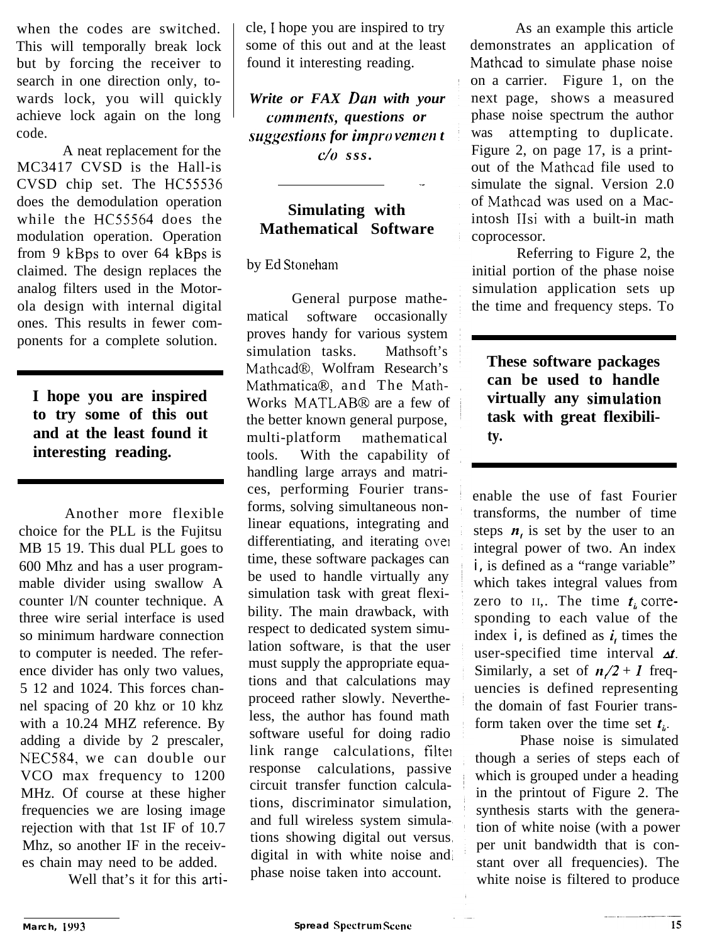when the codes are switched. This will temporally break lock but by forcing the receiver to search in one direction only, towards lock, you will quickly achieve lock again on the long code.

A neat replacement for the MC3417 CVSD is the Hall-is CVSD chip set. The HC55536 does the demodulation operation while the HC55564 does the modulation operation. Operation from 9 kBps to over 64 kBps is claimed. The design replaces the analog filters used in the Motorola design with internal digital ones. This results in fewer components for a complete solution.

**I hope you are inspired to try some of this out and at the least found it interesting reading.**

Another more flexible choice for the PLL is the Fujitsu MB 15 19. This dual PLL goes to 600 Mhz and has a user programmable divider using swallow A counter l/N counter technique. A three wire serial interface is used so minimum hardware connection to computer is needed. The reference divider has only two values, 5 12 and 1024. This forces channel spacing of 20 khz or 10 khz with a 10.24 MHZ reference. By adding a divide by 2 prescaler, NEC584, we can double our VCO max frequency to 1200 MHz. Of course at these higher frequencies we are losing image rejection with that 1st IF of 10.7 Mhz, so another IF in the receives chain may need to be added.

Well that's it for this arti-

cle, I hope you are inspired to try some of this out and at the least found it interesting reading.

*Write or FAX Dun with your*  $comments, questions$  or *suggestions for improvement c/o sss.*

# **Simulating with Mathematical Software**

## by Ed Stoneham

General purpose mathematical software occasionally proves handy for various system simulation tasks. Mathsoft's Mathcad@, Wolfram Research's MathmaticaB, and The Math-Works MATLABB are a few of the better known general purpose, multi-platform mathematical tools. With the capability of handling large arrays and matrices, performing Fourier transforms, solving simultaneous nonlinear equations, integrating and differentiating, and iterating ovel time, these software packages can be used to handle virtually any simulation task with great flexibility. The main drawback, with respect to dedicated system simulation software, is that the user must supply the appropriate equations and that calculations may proceed rather slowly. Nevertheless, the author has found math software useful for doing radio link range calculations, filter response calculations, passive circuit transfer function calculations, discriminator simulation, and full wireless system simulations showing digital out versus digital in with white noise and phase noise taken into account.

As an example this article demonstrates an application of Mathcad to simulate phase noise on a carrier. Figure 1, on the next page, shows a measured phase noise spectrum the author was attempting to duplicate. Figure 2, on page 17, is a printout of the Mathcad file used to simulate the signal. Version 2.0 of Mathcad was used on a Macintosh IIsi with a built-in math coprocessor.

Referring to Figure 2, the initial portion of the phase noise simulation application sets up the time and frequency steps. To

**These software packages can be used to handle virtually any simuIation task with great flexibility.**

enable the use of fast Fourier transforms, the number of time steps  $n_i$  is set by the user to an integral power of two. An index *i*, is defined as a "range variable" which takes integral values from zero to  $II$ ,. The time  $t_i$  corresponding to each value of the index  $i$ , is defined as  $i$ , times the user-specified time interval  $\Delta t$ . Similarly, a set of  $n/2 + 1$  frequencies is defined representing the domain of fast Fourier transform taken over the time set  $t_i$ .

Phase noise is simulated though a series of steps each of which is grouped under a heading in the printout of Figure 2. The synthesis starts with the generation of white noise (with a power per unit bandwidth that is constant over all frequencies). The white noise is filtered to produce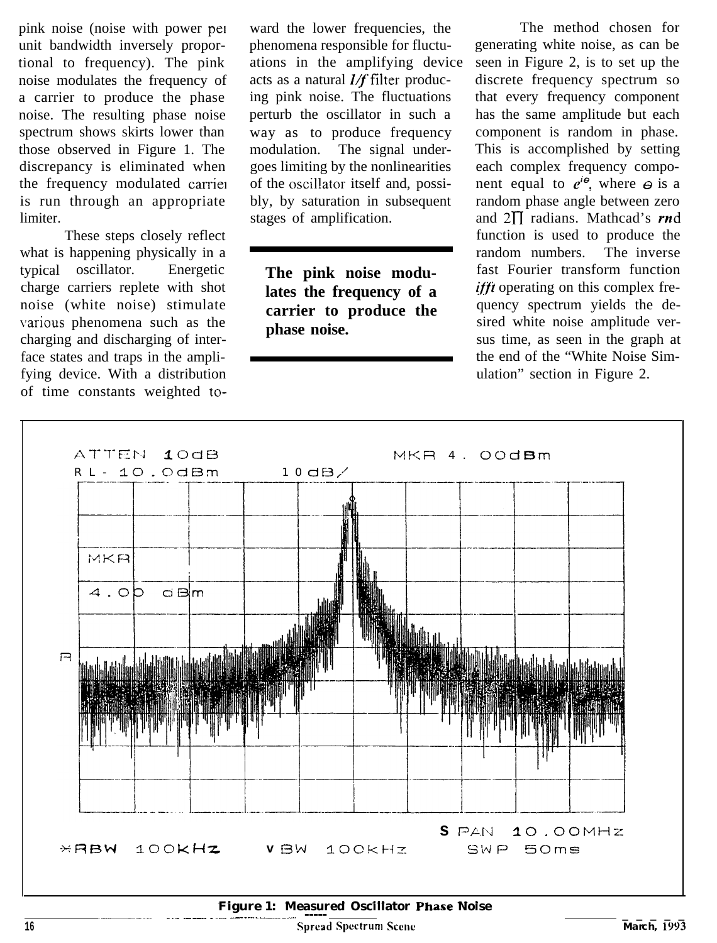pink noise (noise with power pel ward the lower frequencies, the unit bandwidth inversely propor- phenomena responsible for fluctutional to frequency). The pink ations in the amplifying device noise modulates the frequency of acts as a natural  $I/f$  filter produca carrier to produce the phase ing pink noise. The fluctuations noise. The resulting phase noise perturb the oscillator in such a spectrum shows skirts lower than way as to produce frequency those observed in Figure 1. The modulation. The signal underdiscrepancy is eliminated when goes limiting by the nonlinearities the frequency modulated carrie<sub>1</sub> of the oscillator itself and, possiis run through an appropriate bly, by saturation in subsequent limiter. Stages of amplification.

These steps closely reflect what is happening physically in a typical oscillator. Energetic charge carriers replete with shot noise (white noise) stimulate various phenomena such as the charging and discharging of interface states and traps in the amplifying device. With a distribution of time constants weighted to-

**The pink noise modulates the frequency of a carrier to produce the phase noise.**

The method chosen for generating white noise, as can be seen in Figure 2, is to set up the discrete frequency spectrum so that every frequency component has the same amplitude but each component is random in phase. This is accomplished by setting each complex frequency component equal to  $e^{i\theta}$ , where  $\Theta$  is a random phase angle between zero and  $2\Pi$  radians. Mathcad's rnd function is used to produce the random numbers. The inverse fast Fourier transform function *ifft* operating on this complex frequency spectrum yields the desired white noise amplitude versus time, as seen in the graph at the end of the "White Noise Simulation" section in Figure 2.



**Figure 1:** Measured Oscillator Phase Noise **1... The Section of the Section Account of the Section Account of the Section Account of the Section Account of the Section Account of the Section Account of the Section Account**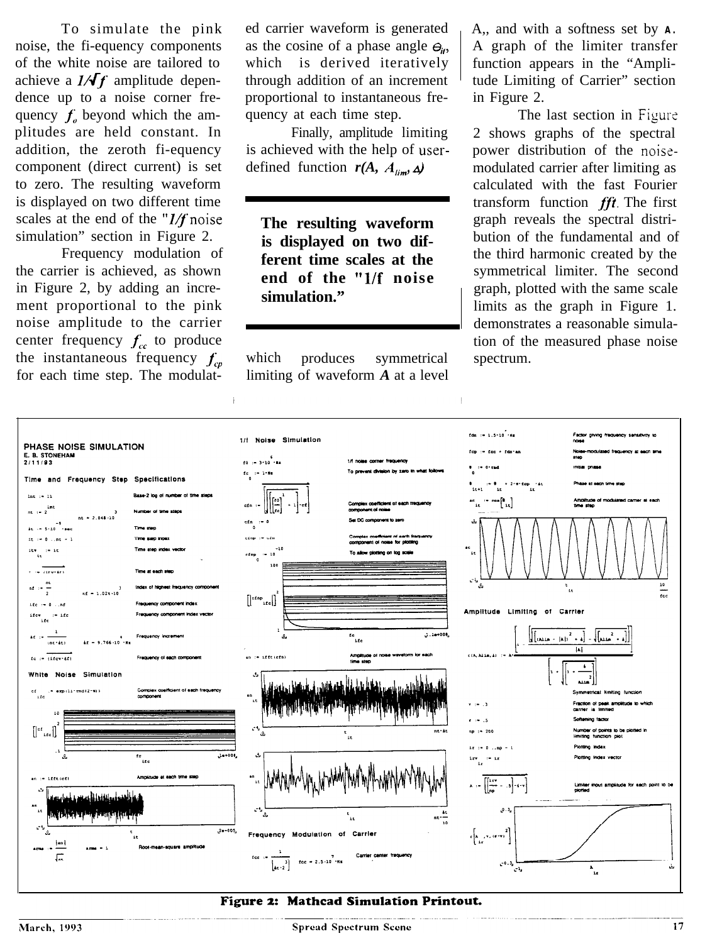To simulate the pink noise, the fi-equency components of the white noise are tailored to achieve a  $1/\sqrt{f}$  amplitude dependence up to a noise corner frequency  $f_a$  beyond which the amplitudes are held constant. In addition, the zeroth fi-equency component (direct current) is set to zero. The resulting waveform is displayed on two different time scales at the end of the " $1/f$  noise simulation" section in Figure 2.

Frequency modulation of the carrier is achieved, as shown in Figure 2, by adding an increment proportional to the pink noise amplitude to the carrier center frequency  $f_c$  to produce the instantaneous frequency  $f_{cp}$ for each time step. The modulated carrier waveform is generated as the cosine of a phase angle  $\Theta_{i}$ , which is derived iteratively through addition of an increment proportional to instantaneous frequency at each time step.

Finally, amplitude limiting is achieved with the help of userdefined function  $r(A, A_{\text{lim}}, \Delta)$ 

**The resulting waveform is displayed on two different time scales at the end of the "l/f noise simulation."**

which produces symmetrical limiting of waveform *A* at a level A,, and with a softness set by **A.** A graph of the limiter transfer function appears in the "Amplitude Limiting of Carrier" section in Figure 2.

The last section in Figure 2 shows graphs of the spectral power distribution of the noisemodulated carrier after limiting as calculated with the fast Fourier transform function  $fft$ . The first graph reveals the spectral distribution of the fundamental and of the third harmonic created by the symmetrical limiter. The second graph, plotted with the same scale limits as the graph in Figure 1. demonstrates a reasonable simulation of the measured phase noise spectrum.



#### Figure 2: Mathcad Simulation Printout.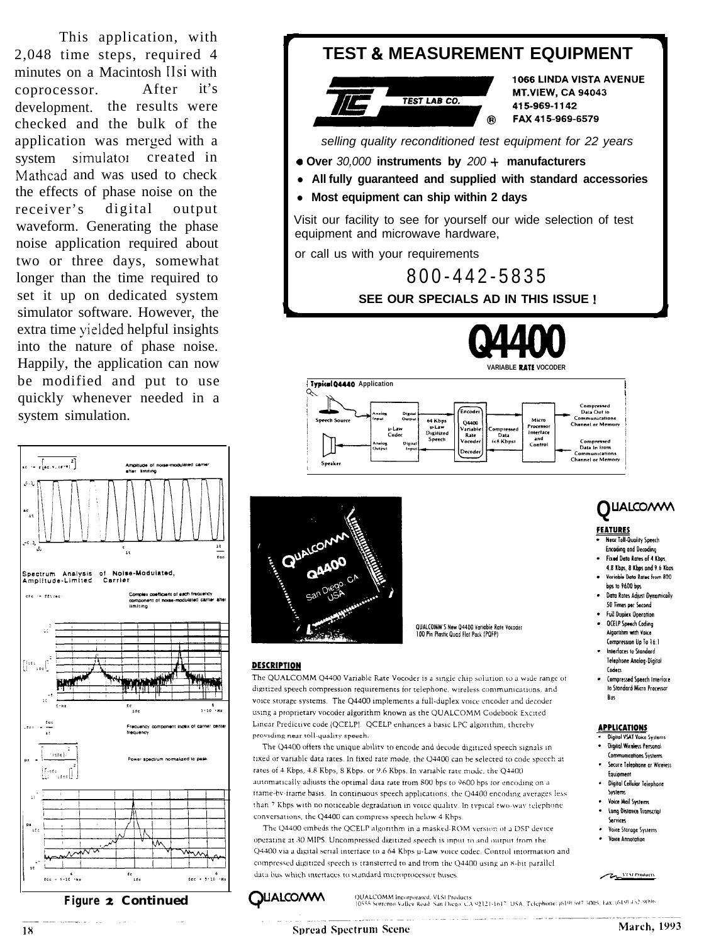This application, with 2,048 time steps, required 4 minutes on a Macintosh llsi with coprocessor. After it's development. the results were checked and the bulk of the application was merged with a system simulator created in Mathcad and was used to check the effects of phase noise on the receiver's digital output waveform. Generating the phase noise application required about two or three days, somewhat longer than the time required to set it up on dedicated system simulator software. However, the extra time yielded helpful insights into the nature of phase noise. Happily, the application can now be modified and put to use quickly whenever needed in a system simulation.



**Figure 2 Continued** 

# **TEST & MEASUREMENT EQUIPMENT 1066 LINDA VISTA AVENUE**



**MT.VIEW, CA 94043** 415-969-1142 FAX 415-969-6579

-

*selling quality reconditioned test equipment for 22 years*

- *a* **Over** *30,000* **instruments by** *200 +* **manufacturers**
- All fully guaranteed and supplied with standard accessories
- **Most equipment can ship within 2 days**

Visit our facility to see for yourself our wide selection of test equipment and microwave hardware,

or call us with your requirements

800-442-5835

**SEE OUR SPECIALS AD IN THIS ISSUE I**









QUALCOMM'S New Q4400 Variable Rate Vocader 100 Pin Plastic Quad Flat Pack (PQFP)

#### **DESCRIPTION**

The QUALCOMM Q4400 Variable Rate Vocoder is a single chip solution to a wide range of digitized speech compression requirements for telephone, wireless communications, and voice storage systems. The Q4400 implements a full-duplex voice encoder and decoder using a proprietary vocoder algorithm known as the QUALCOMM Codebook Excited Linear Predictive code (QCELP). QCELP enhances a basic LPC algorithm, thereby providing near toll-quality speech.

The Q4400 offers the unique ability to encode and decode digitized speech signals in fixed or variable data rates. In fixed rate mode, the Q4400 can be selected to code speech at rates of 4 Kbps, 4.8 Kbps, 8 Kbps, or 9.6 Kbps. In variable rate mode, the Q4400 automatically adjusts the optimal data rate from 800 bps to 9600 bps for encoding on a frame-by-frame basis. In continuous speech applications, the Q4400 encoding averages less than 7 Kbps with no noticeable degradation in voice quality. In typical two-way telephone conversations, the Q4400 can compress speech below 4 Kbps

The Q4400 embeds the QCELP algorithm in a masked-ROM version of a DSP device operating at 30 MIPS. Uncompressed digitized speech is input to and output from the Q4400 via a digital serial interface to a 64 Kbps u-Law voice codec. Control information and compressed digitized speech is transferred to and from the Q4400 using an 8-bit parallel data bus which interfaces to standard microprocessor buses



# **Q**LlAUO/#M

#### **FEATURES**

- **Near Toll-Quality Speech Encoding and Decoding** · Fixed Data Rates of 4 Kbos
- 4.8 Kbps. 8 Kbps and 9.6 Kbps. Variable Data Rates from 800 bps to 9600 bps
- Data Rates Adjust Dynamically 50 Times per Second
- **Full Duplex Operation**
- **OCELP Speech Coding Algorithm with Voice** Compression Up To 16:1
- Interfaces to Standard Telephone Analog-Digital Coders
- Compressed Speech Interface to Standard Micro Processor Bus

#### **APPLICATIONS**

- **Digital VSAT Voice Systems** Digital Wireless Personal **Communications Systems**
- Secure Telephone or Wireless Equipment
- Digital Cellular Telephone Systems **Voice Mail Systems**
- Long Distance Transcript Services
- Voice Storage Systems **Voice Annotation**

**VI St Products** سيمته

Q**UALCOIW\I\**

QUALCOMM Incorporated, VLSI Products 20 ALCOMM incorporated, VLSi Products<br>10555 Sorrento Valley Road, San Diego, CA 92121-1617, USA, Telephone: (619) 597-5005, Fax. (619) 452-9096.